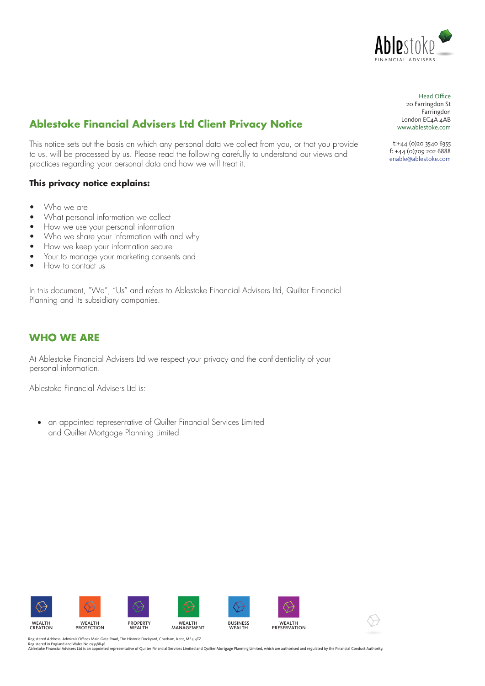

# **Ablestoke Financial Advisers Ltd Client Privacy Notice**

This notice sets out the basis on which any personal data we collect from you, or that you provide to us, will be processed by us. Please read the following carefully to understand our views and practices regarding your personal data and how we will treat it.

#### **This privacy notice explains:**

- Who we are
- What personal information we collect
- How we use your personal information
- Who we share your information with and why
- How we keep your information secure
- Your to manage your marketing consents and
- How to contact us

In this document, "We", "Us" and refers to Ablestoke Financial Advisers Ltd, Quilter Financial Planning and its subsidiary companies.

#### **WHO WE ARE**

At Ablestoke Financial Advisers Ltd we respect your privacy and the confidentiality of your personal information.

Ablestoke Financial Advisers Ltd is:

• an appointed representative of Quilter Financial Services Limited and Quilter Mortgage Planning Limited



Head Office: Head Office 20 Farringdon St Farringdon London EC4A 4AB www.ablestoke.com Head Office<br>20 Farringdon St<br>Farringdon<br>London EC4A 4AB<br>www.ablestoke.com<br>t:+44 (0)20 3540 6355

t: +44 (0) 20 3540 6355 f: +44(0)709 202 6888 f: +44 (0)709 202 6888 enable@ablestoke.com enable@ablestoke.com f: +44 (0)709 202 6888enable@ablestoke.com

Registered Address: Admirals Offices Main Gate Road, The Historic Dockyard, Chatham, Kent, ME4 4TZ.<br>Registered in England and Wales No 0758846.<br>Ablestoke Financial Advisers Ltd is an appointed representative of Quilter Fin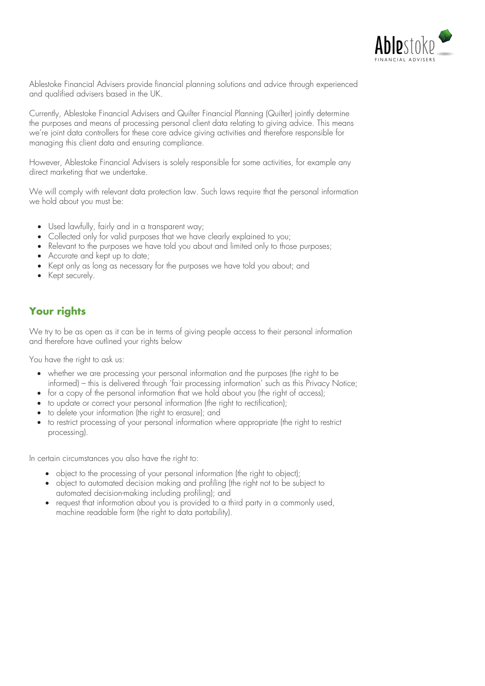

Ablestoke Financial Advisers provide financial planning solutions and advice through experienced and qualified advisers based in the UK.

Currently, Ablestoke Financial Advisers and Quilter Financial Planning (Quilter) jointly determine the purposes and means of processing personal client data relating to giving advice. This means we're joint data controllers for these core advice giving activities and therefore responsible for managing this client data and ensuring compliance.

However, Ablestoke Financial Advisers is solely responsible for some activities, for example any direct marketing that we undertake.

We will comply with relevant data protection law. Such laws require that the personal information we hold about you must be:

- Used lawfully, fairly and in a transparent way;
- Collected only for valid purposes that we have clearly explained to you;
- Relevant to the purposes we have told you about and limited only to those purposes;
- Accurate and kept up to date;
- Kept only as long as necessary for the purposes we have told you about; and
- Kept securely.

## **Your rights**

We try to be as open as it can be in terms of giving people access to their personal information and therefore have outlined your rights below

You have the right to ask us:

- whether we are processing your personal information and the purposes (the right to be informed) – this is delivered through 'fair processing information' such as this Privacy Notice;
- for a copy of the personal information that we hold about you (the right of access);
- to update or correct your personal information (the right to rectification);
- to delete your information (the right to erasure); and
- to restrict processing of your personal information where appropriate (the right to restrict processing).

In certain circumstances you also have the right to:

- object to the processing of your personal information (the right to object);
- object to automated decision making and profiling (the right not to be subject to automated decision-making including profiling); and
- request that information about you is provided to a third party in a commonly used, machine readable form (the right to data portability).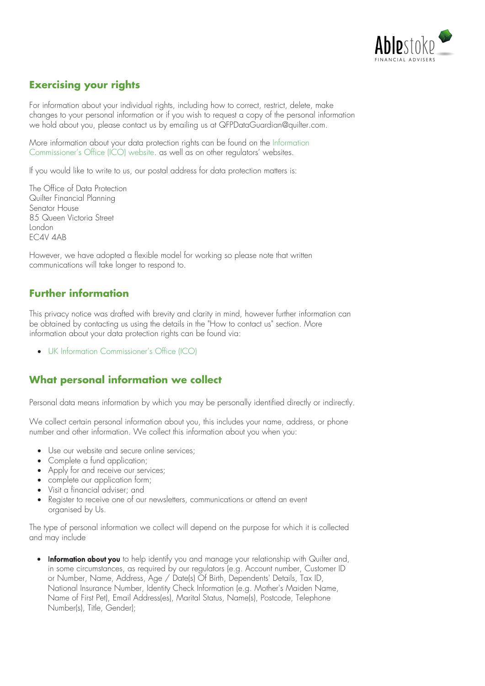

# **Exercising your rights**

For information about your individual rights, including how to correct, restrict, delete, make changes to your personal information or if you wish to request a copy of the personal information we hold about you, please contact us by emailing us at QFPDataGuardian@quilter.com.

[More information about your data protection rights can be found on the Information](https://ico.org.uk/your-data-matters/)  Commissioner's Office (ICO) website. as well as on other regulators' websites.

If you would like to write to us, our postal address for data protection matters is:

The Office of Data Protection Quilter Financial Planning Senator House 85 Queen Victoria Street London EC4V 4AB

However, we have adopted a flexible model for working so please note that written communications will take longer to respond to.

## **Further information**

This privacy notice was drafted with brevity and clarity in mind, however further information can be obtained by contacting us using the details in the "How to contact us" section. More information about your data protection rights can be found via:

• [UK Information Commissioner's Office \(ICO\)](https://ico.org.uk/your-data-matters/)

## **What personal information we collect**

Personal data means information by which you may be personally identified directly or indirectly.

We collect certain personal information about you, this includes your name, address, or phone number and other information. We collect this information about you when you:

- Use our website and secure online services;
- Complete a fund application;
- Apply for and receive our services;
- complete our application form;
- Visit a financial adviser; and
- Register to receive one of our newsletters, communications or attend an event organised by Us.

The type of personal information we collect will depend on the purpose for which it is collected and may include

• Information about you to help identify you and manage your relationship with Quilter and, in some circumstances, as required by our regulators (e.g. Account number, Customer ID or Number, Name, Address, Age / Date(s) Of Birth, Dependents' Details, Tax ID, National Insurance Number, Identity Check Information (e.g. Mother's Maiden Name, Name of First Pet), Email Address(es), Marital Status, Name(s), Postcode, Telephone Number(s), Title, Gender);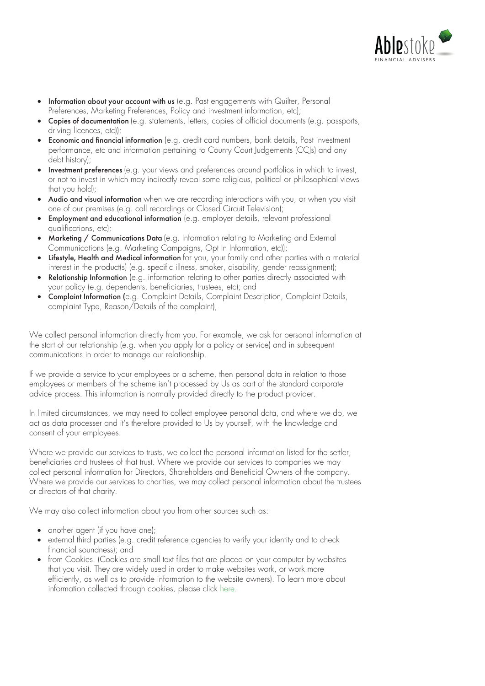

- Information about your account with us (e.g. Past engagements with Quilter, Personal Preferences, Marketing Preferences, Policy and investment information, etc);
- Copies of documentation (e.g. statements, letters, copies of official documents (e.g. passports, driving licences, etc));
- **Economic and financial information** (e.g. credit card numbers, bank details, Past investment performance, etc and information pertaining to County Court Judgements (CCJs) and any debt history);
- Investment preferences (e.g. your views and preferences around portfolios in which to invest. or not to invest in which may indirectly reveal some religious, political or philosophical views that you hold);
- Audio and visual information when we are recording interactions with you, or when you visit one of our premises (e.g. call recordings or Closed Circuit Television);
- Employment and educational information (e.g. employer details, relevant professional qualifications, etc);
- Marketing / Communications Data (e.g. Information relating to Marketing and External Communications (e.g. Marketing Campaigns, Opt In Information, etc));
- Lifestyle, Health and Medical information for you, your family and other parties with a material interest in the product(s) (e.g. specific illness, smoker, disability, gender reassignment);
- Relationship Information (e.g. information relating to other parties directly associated with your policy (e.g. dependents, beneficiaries, trustees, etc); and
- Complaint Information (e.g. Complaint Details, Complaint Description, Complaint Details, complaint Type, Reason/Details of the complaint),

We collect personal information directly from you. For example, we ask for personal information at the start of our relationship (e.g. when you apply for a policy or service) and in subsequent communications in order to manage our relationship.

If we provide a service to your employees or a scheme, then personal data in relation to those employees or members of the scheme isn't processed by Us as part of the standard corporate advice process. This information is normally provided directly to the product provider.

In limited circumstances, we may need to collect employee personal data, and where we do, we act as data processer and it's therefore provided to Us by yourself, with the knowledge and consent of your employees.

Where we provide our services to trusts, we collect the personal information listed for the settler, beneficiaries and trustees of that trust. Where we provide our services to companies we may collect personal information for Directors, Shareholders and Beneficial Owners of the company. Where we provide our services to charities, we may collect personal information about the trustees or directors of that charity.

We may also collect information about you from other sources such as:

- another agent (if you have one);
- external third parties (e.g. credit reference agencies to verify your identity and to check financial soundness); and
- from Cookies. (Cookies are small text files that are placed on your computer by websites that you visit. They are widely used in order to make websites work, or work more efficiently, as well as to provide information to the website owners). To learn more about information collected through cookies, please click [here](https://www.quilter.com/important-information/cookie-notice/?Region=uk&Role=cust).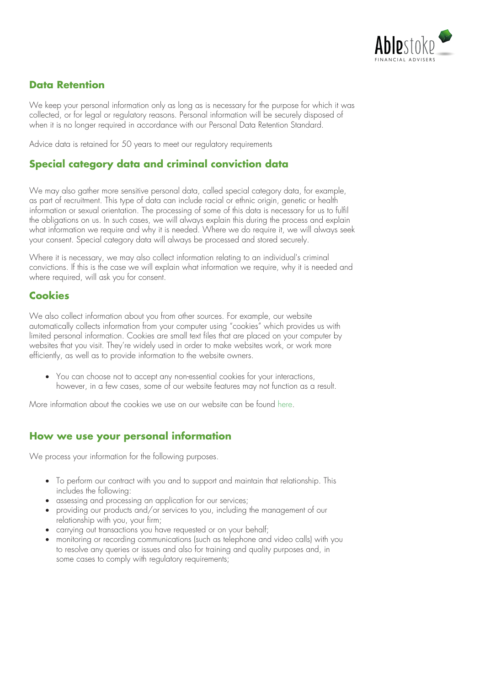

## **Data Retention**

We keep your personal information only as long as is necessary for the purpose for which it was collected, or for legal or regulatory reasons. Personal information will be securely disposed of when it is no longer required in accordance with our Personal Data Retention Standard.

Advice data is retained for 50 years to meet our regulatory requirements

## **Special category data and criminal conviction data**

We may also gather more sensitive personal data, called special category data, for example, as part of recruitment. This type of data can include racial or ethnic origin, genetic or health information or sexual orientation. The processing of some of this data is necessary for us to fulfil the obligations on us. In such cases, we will always explain this during the process and explain what information we require and why it is needed. Where we do require it, we will always seek your consent. Special category data will always be processed and stored securely.

Where it is necessary, we may also collect information relating to an individual's criminal convictions. If this is the case we will explain what information we require, why it is needed and where required, will ask you for consent.

#### **Cookies**

We also collect information about you from other sources. For example, our website automatically collects information from your computer using "cookies" which provides us with limited personal information. Cookies are small text files that are placed on your computer by websites that you visit. They're widely used in order to make websites work, or work more efficiently, as well as to provide information to the website owners.

• You can choose not to accept any non-essential cookies for your interactions, however, in a few cases, some of our website features may not function as a result.

More information about the cookies we use on our website can be found [here.](https://www.quilter.com/important-information/cookie-notice/)

### **How we use your personal information**

We process your information for the following purposes.

- To perform our contract with you and to support and maintain that relationship. This includes the following:
- assessing and processing an application for our services;
- providing our products and/or services to you, including the management of our relationship with you, your firm;
- carrying out transactions you have requested or on your behalf;
- monitoring or recording communications (such as telephone and video calls) with you to resolve any queries or issues and also for training and quality purposes and, in some cases to comply with regulatory requirements;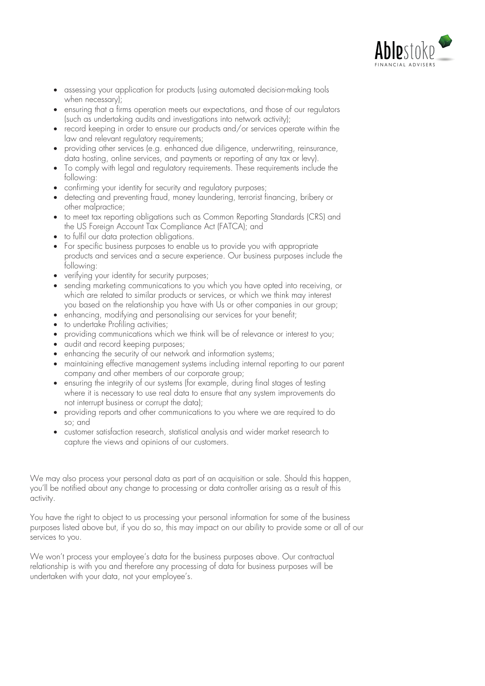

- assessing your application for products (using automated decision-making tools when necessary);
- ensuring that a firms operation meets our expectations, and those of our regulators (such as undertaking audits and investigations into network activity);
- record keeping in order to ensure our products and/or services operate within the law and relevant regulatory requirements;
- providing other services (e.g. enhanced due diligence, underwriting, reinsurance, data hosting, online services, and payments or reporting of any tax or levy).
- To comply with legal and regulatory requirements. These requirements include the following:
- confirming your identity for security and regulatory purposes;
- detecting and preventing fraud, money laundering, terrorist financing, bribery or other malpractice;
- to meet tax reporting obligations such as Common Reporting Standards (CRS) and the US Foreign Account Tax Compliance Act (FATCA); and
- to fulfil our data protection obligations.
- For specific business purposes to enable us to provide you with appropriate products and services and a secure experience. Our business purposes include the following:
- verifying your identity for security purposes;
- sending marketing communications to you which you have opted into receiving, or which are related to similar products or services, or which we think may interest you based on the relationship you have with Us or other companies in our group;
- enhancing, modifying and personalising our services for your benefit;
- to undertake Profiling activities;
- providing communications which we think will be of relevance or interest to you;
- audit and record keeping purposes;
- enhancing the security of our network and information systems;
- maintaining effective management systems including internal reporting to our parent company and other members of our corporate group;
- ensuring the integrity of our systems (for example, during final stages of testing where it is necessary to use real data to ensure that any system improvements do not interrupt business or corrupt the data);
- providing reports and other communications to you where we are required to do so; and
- customer satisfaction research, statistical analysis and wider market research to capture the views and opinions of our customers.

We may also process your personal data as part of an acquisition or sale. Should this happen, you'll be notified about any change to processing or data controller arising as a result of this activity.

You have the right to object to us processing your personal information for some of the business purposes listed above but, if you do so, this may impact on our ability to provide some or all of our services to you.

We won't process your employee's data for the business purposes above. Our contractual relationship is with you and therefore any processing of data for business purposes will be undertaken with your data, not your employee's.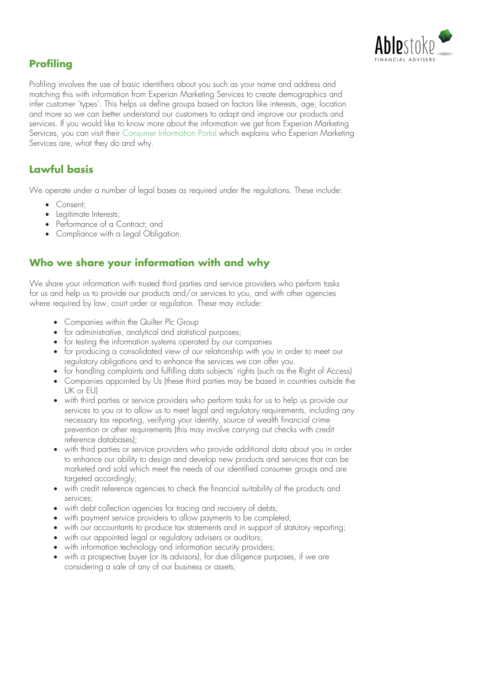

## **Profiling**

Profiling involves the use of basic identifiers about you such as your name and address and matching this with information from Experian Marketing Services to create demographics and infer customer 'types'. This helps us define groups based on factors like interests, age, location and more so we can better understand our customers to adapt and improve our products and services. If you would like to know more about the information we get from Experian Marketing Services, you can visit their [Consumer Information Portal](https://www.experian.co.uk/privacy/consumer-information-portal/) which explains who Experian Marketing Services are, what they do and why.

# **Lawful basis**

We operate under a number of legal bases as required under the regulations. These include:

- Consent;
- Legitimate Interests;
- Performance of a Contract: and
- Compliance with a Legal Obligation.

## **Who we share your information with and why**

We share your information with trusted third parties and service providers who perform tasks for us and help us to provide our products and/or services to you, and with other agencies where required by law, court order or regulation. These may include:

- Companies within the Quilter Plc Group
- for administrative, analytical and statistical purposes;
- for testing the information systems operated by our companies
- for producing a consolidated view of our relationship with you in order to meet our regulatory obligations and to enhance the services we can offer you.
- for handling complaints and fulfilling data subjects' rights (such as the Right of Access)
- Companies appointed by Us (these third parties may be based in countries outside the UK or EU)
- with third parties or service providers who perform tasks for us to help us provide our services to you or to allow us to meet legal and regulatory requirements, including any necessary tax reporting, verifying your identity, source of wealth financial crime prevention or other requirements (this may involve carrying out checks with credit reference databases);
- with third parties or service providers who provide additional data about you in order to enhance our ability to design and develop new products and services that can be marketed and sold which meet the needs of our identified consumer groups and are targeted accordingly:
- with credit reference agencies to check the financial suitability of the products and services;
- with debt collection agencies for tracing and recovery of debts;
- with payment service providers to allow payments to be completed;
- with our accountants to produce tax statements and in support of statutory reporting;
- with our appointed legal or regulatory advisers or auditors;
- with information technology and information security providers;
- with a prospective buyer (or its advisors), for due diligence purposes, if we are considering a sale of any of our business or assets;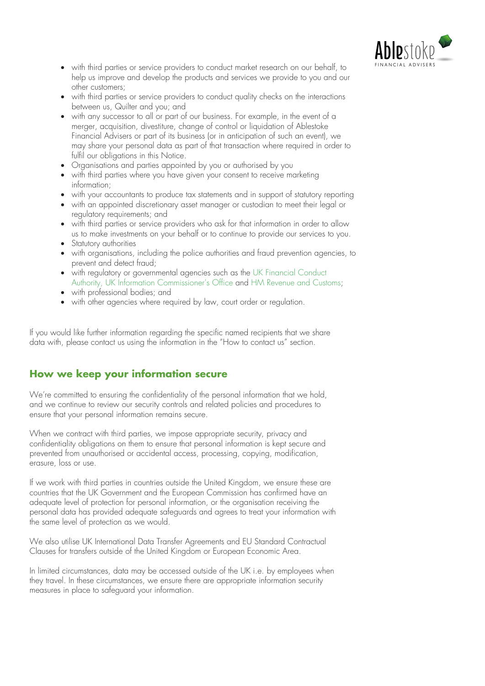

- with third parties or service providers to conduct market research on our behalf, to help us improve and develop the products and services we provide to you and our other customers;
- with third parties or service providers to conduct quality checks on the interactions between us, Quilter and you; and
- with any successor to all or part of our business. For example, in the event of a merger, acquisition, divestiture, change of control or liquidation of Ablestoke Financial Advisers or part of its business (or in anticipation of such an event), we may share your personal data as part of that transaction where required in order to fulfil our obligations in this Notice.
- Organisations and parties appointed by you or authorised by you
- with third parties where you have given your consent to receive marketing information;
- with your accountants to produce tax statements and in support of statutory reporting
- with an appointed discretionary asset manager or custodian to meet their legal or regulatory requirements; and
- with third parties or service providers who ask for that information in order to allow us to make investments on your behalf or to continue to provide our services to you.
- Statutory authorities
- with organisations, including the police authorities and fraud prevention agencies, to prevent and detect fraud;
- with regulatory or governmental agencies such as the UK Financial Conduct [Authority, UK Information Commissioner's Office and HM Revenue and Cus](https://www.fca.org.uk/)[toms](https://www.gov.uk/government/organisations/hm-revenue-customs):
- with professional bodies; and
- with other agencies where required by law, court order or regulation.

If you would like further information regarding the specific named recipients that we share data with, please contact us using the information in the "How to contact us" section.

## **How we keep your information secure**

We're committed to ensuring the confidentiality of the personal information that we hold, and we continue to review our security controls and related policies and procedures to ensure that your personal information remains secure.

When we contract with third parties, we impose appropriate security, privacy and confidentiality obligations on them to ensure that personal information is kept secure and prevented from unauthorised or accidental access, processing, copying, modification, erasure, loss or use.

If we work with third parties in countries outside the United Kingdom, we ensure these are countries that the UK Government and the European Commission has confirmed have an adequate level of protection for personal information, or the organisation receiving the personal data has provided adequate safeguards and agrees to treat your information with the same level of protection as we would.

We also utilise UK International Data Transfer Agreements and EU Standard Contractual Clauses for transfers outside of the United Kingdom or European Economic Area.

In limited circumstances, data may be accessed outside of the UK i.e. by employees when they travel. In these circumstances, we ensure there are appropriate information security measures in place to safeguard your information.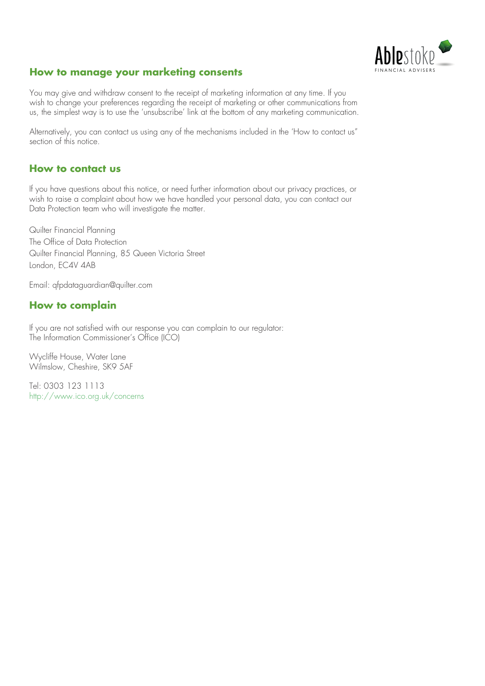

#### **How to manage your marketing consents**

You may give and withdraw consent to the receipt of marketing information at any time. If you wish to change your preferences regarding the receipt of marketing or other communications from us, the simplest way is to use the 'unsubscribe' link at the bottom of any marketing communication.

Alternatively, you can contact us using any of the mechanisms included in the 'How to contact us" section of this notice.

#### **How to contact us**

If you have questions about this notice, or need further information about our privacy practices, or wish to raise a complaint about how we have handled your personal data, you can contact our Data Protection team who will investigate the matter.

Quilter Financial Planning The Office of Data Protection Quilter Financial Planning, 85 Queen Victoria Street London, EC4V 4AB

Email: qfpdataguardian@quilter.com

### **How to complain**

If you are not satisfied with our response you can complain to our regulator: The Information Commissioner's Office (ICO)

Wycliffe House, Water Lane Wilmslow, Cheshire, SK9 5AF

Tel: 0303 123 1113 [http://www.ico.org.uk/concerns](https://ico.org.uk/make-a-complaint/)